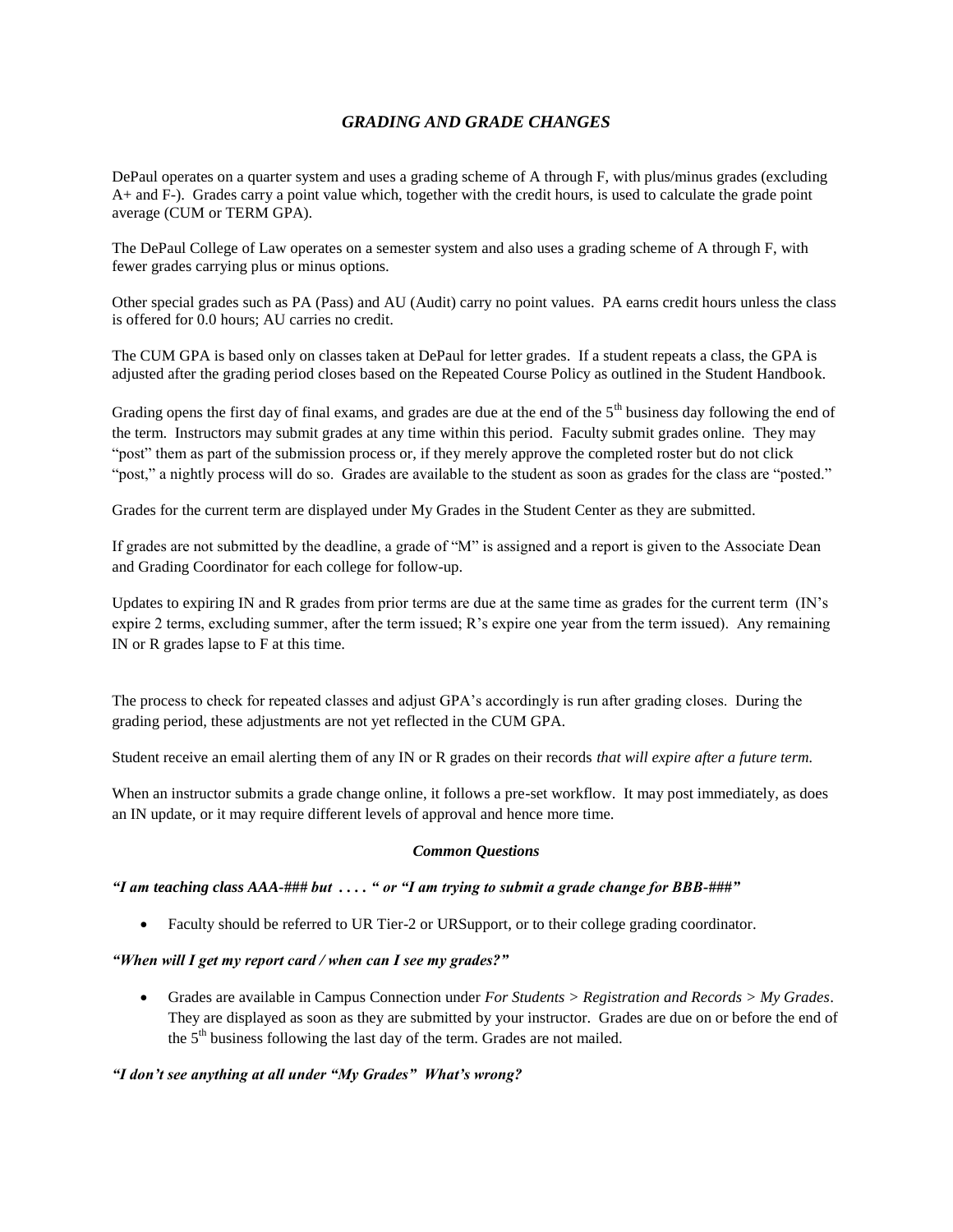# *GRADING AND GRADE CHANGES*

DePaul operates on a quarter system and uses a grading scheme of A through F, with plus/minus grades (excluding A+ and F-). Grades carry a point value which, together with the credit hours, is used to calculate the grade point average (CUM or TERM GPA).

The DePaul College of Law operates on a semester system and also uses a grading scheme of A through F, with fewer grades carrying plus or minus options.

Other special grades such as PA (Pass) and AU (Audit) carry no point values. PA earns credit hours unless the class is offered for 0.0 hours; AU carries no credit.

The CUM GPA is based only on classes taken at DePaul for letter grades. If a student repeats a class, the GPA is adjusted after the grading period closes based on the Repeated Course Policy as outlined in the Student Handbook.

Grading opens the first day of final exams, and grades are due at the end of the  $5<sup>th</sup>$  business day following the end of the term. Instructors may submit grades at any time within this period. Faculty submit grades online. They may "post" them as part of the submission process or, if they merely approve the completed roster but do not click "post," a nightly process will do so. Grades are available to the student as soon as grades for the class are "posted."

Grades for the current term are displayed under My Grades in the Student Center as they are submitted.

If grades are not submitted by the deadline, a grade of "M" is assigned and a report is given to the Associate Dean and Grading Coordinator for each college for follow-up.

Updates to expiring IN and R grades from prior terms are due at the same time as grades for the current term (IN's expire 2 terms, excluding summer, after the term issued; R's expire one year from the term issued). Any remaining IN or R grades lapse to F at this time.

The process to check for repeated classes and adjust GPA's accordingly is run after grading closes. During the grading period, these adjustments are not yet reflected in the CUM GPA.

Student receive an email alerting them of any IN or R grades on their records *that will expire after a future term.*

When an instructor submits a grade change online, it follows a pre-set workflow. It may post immediately, as does an IN update, or it may require different levels of approval and hence more time.

#### *Common Questions*

## *"I am teaching class AAA-### but . . . . " or "I am trying to submit a grade change for BBB-###"*

Faculty should be referred to UR Tier-2 or URSupport, or to their college grading coordinator.

#### *"When will I get my report card / when can I see my grades?"*

 Grades are available in Campus Connection under *For Students > Registration and Records > My Grades*. They are displayed as soon as they are submitted by your instructor. Grades are due on or before the end of the  $5<sup>th</sup>$  business following the last day of the term. Grades are not mailed.

#### *"I don't see anything at all under "My Grades" What's wrong?*